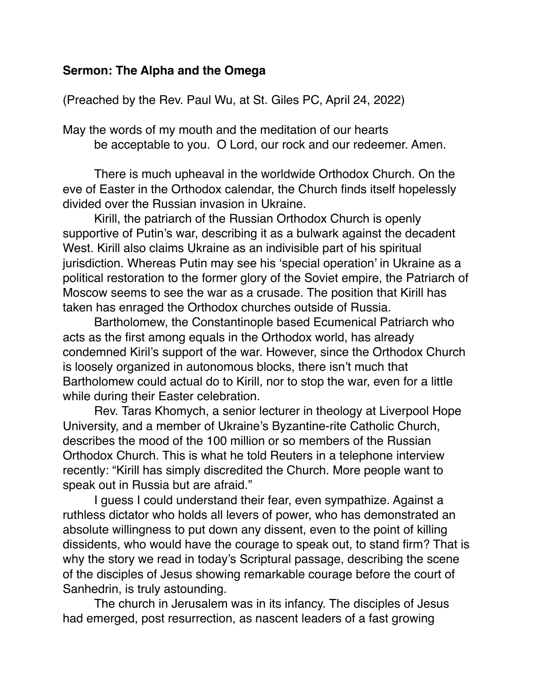## **Sermon: The Alpha and the Omega**

(Preached by the Rev. Paul Wu, at St. Giles PC, April 24, 2022)

May the words of my mouth and the meditation of our hearts be acceptable to you. O Lord, our rock and our redeemer. Amen.

There is much upheaval in the worldwide Orthodox Church. On the eve of Easter in the Orthodox calendar, the Church finds itself hopelessly divided over the Russian invasion in Ukraine.

Kirill, the patriarch of the Russian Orthodox Church is openly supportive of Putin's war, describing it as a bulwark against the decadent West. Kirill also claims Ukraine as an indivisible part of his spiritual jurisdiction. Whereas Putin may see his 'special operation' in Ukraine as a political restoration to the former glory of the Soviet empire, the Patriarch of Moscow seems to see the war as a crusade. The position that Kirill has taken has enraged the Orthodox churches outside of Russia.

Bartholomew, the Constantinople based Ecumenical Patriarch who acts as the first among equals in the Orthodox world, has already condemned Kiril's support of the war. However, since the Orthodox Church is loosely organized in autonomous blocks, there isn't much that Bartholomew could actual do to Kirill, nor to stop the war, even for a little while during their Easter celebration.

Rev. Taras Khomych, a senior lecturer in theology at Liverpool Hope University, and a member of Ukraine's Byzantine-rite Catholic Church, describes the mood of the 100 million or so members of the Russian Orthodox Church. This is what he told Reuters in a telephone interview recently: "Kirill has simply discredited the Church. More people want to speak out in Russia but are afraid."

I guess I could understand their fear, even sympathize. Against a ruthless dictator who holds all levers of power, who has demonstrated an absolute willingness to put down any dissent, even to the point of killing dissidents, who would have the courage to speak out, to stand firm? That is why the story we read in today's Scriptural passage, describing the scene of the disciples of Jesus showing remarkable courage before the court of Sanhedrin, is truly astounding.

The church in Jerusalem was in its infancy. The disciples of Jesus had emerged, post resurrection, as nascent leaders of a fast growing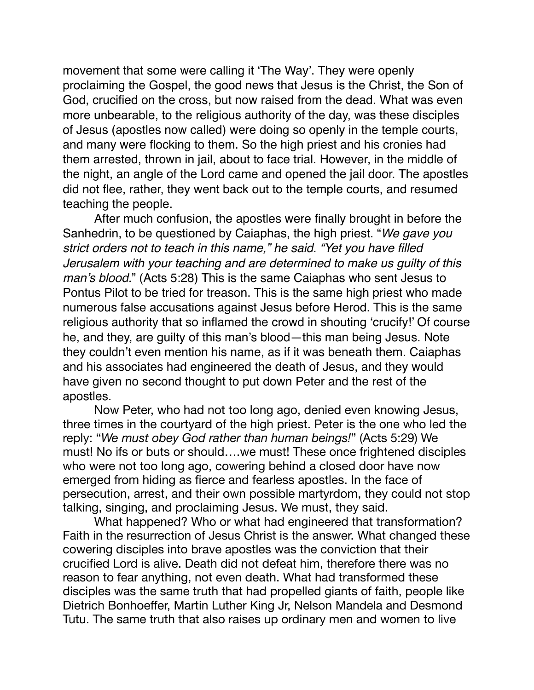movement that some were calling it 'The Way'. They were openly proclaiming the Gospel, the good news that Jesus is the Christ, the Son of God, crucified on the cross, but now raised from the dead. What was even more unbearable, to the religious authority of the day, was these disciples of Jesus (apostles now called) were doing so openly in the temple courts, and many were flocking to them. So the high priest and his cronies had them arrested, thrown in jail, about to face trial. However, in the middle of the night, an angle of the Lord came and opened the jail door. The apostles did not flee, rather, they went back out to the temple courts, and resumed teaching the people.

After much confusion, the apostles were finally brought in before the Sanhedrin, to be questioned by Caiaphas, the high priest. "*We gave you strict orders not to teach in this name," he said. "Yet you have filled Jerusalem with your teaching and are determined to make us guilty of this man's blood.*" (Acts 5:28) This is the same Caiaphas who sent Jesus to Pontus Pilot to be tried for treason. This is the same high priest who made numerous false accusations against Jesus before Herod. This is the same religious authority that so inflamed the crowd in shouting 'crucify!' Of course he, and they, are guilty of this man's blood—this man being Jesus. Note they couldn't even mention his name, as if it was beneath them. Caiaphas and his associates had engineered the death of Jesus, and they would have given no second thought to put down Peter and the rest of the apostles.

Now Peter, who had not too long ago, denied even knowing Jesus, three times in the courtyard of the high priest. Peter is the one who led the reply: "*We must obey God rather than human beings!*" (Acts 5:29) We must! No ifs or buts or should….we must! These once frightened disciples who were not too long ago, cowering behind a closed door have now emerged from hiding as fierce and fearless apostles. In the face of persecution, arrest, and their own possible martyrdom, they could not stop talking, singing, and proclaiming Jesus. We must, they said.

What happened? Who or what had engineered that transformation? Faith in the resurrection of Jesus Christ is the answer. What changed these cowering disciples into brave apostles was the conviction that their crucified Lord is alive. Death did not defeat him, therefore there was no reason to fear anything, not even death. What had transformed these disciples was the same truth that had propelled giants of faith, people like Dietrich Bonhoeffer, Martin Luther King Jr, Nelson Mandela and Desmond Tutu. The same truth that also raises up ordinary men and women to live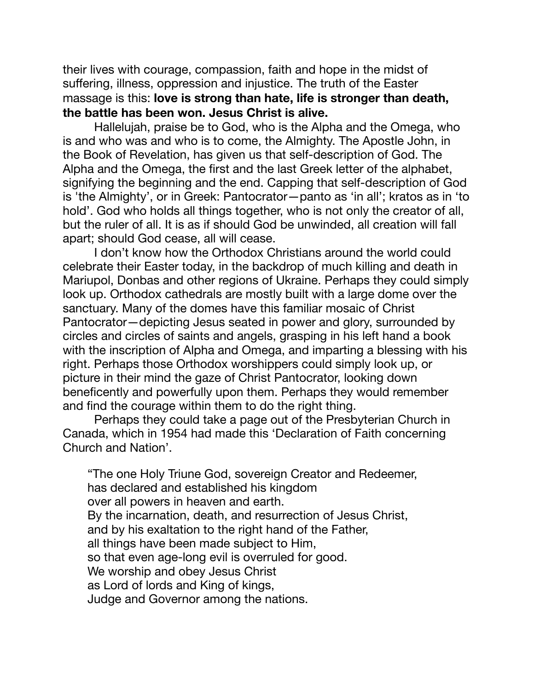their lives with courage, compassion, faith and hope in the midst of suffering, illness, oppression and injustice. The truth of the Easter massage is this: **love is strong than hate, life is stronger than death, the battle has been won. Jesus Christ is alive.**

Hallelujah, praise be to God, who is the Alpha and the Omega, who is and who was and who is to come, the Almighty. The Apostle John, in the Book of Revelation, has given us that self-description of God. The Alpha and the Omega, the first and the last Greek letter of the alphabet, signifying the beginning and the end. Capping that self-description of God is 'the Almighty', or in Greek: Pantocrator—panto as 'in all'; kratos as in 'to hold'. God who holds all things together, who is not only the creator of all, but the ruler of all. It is as if should God be unwinded, all creation will fall apart; should God cease, all will cease.

I don't know how the Orthodox Christians around the world could celebrate their Easter today, in the backdrop of much killing and death in Mariupol, Donbas and other regions of Ukraine. Perhaps they could simply look up. Orthodox cathedrals are mostly built with a large dome over the sanctuary. Many of the domes have this familiar mosaic of Christ Pantocrator—depicting Jesus seated in power and glory, surrounded by circles and circles of saints and angels, grasping in his left hand a book with the inscription of Alpha and Omega, and imparting a blessing with his right. Perhaps those Orthodox worshippers could simply look up, or picture in their mind the gaze of Christ Pantocrator, looking down beneficently and powerfully upon them. Perhaps they would remember and find the courage within them to do the right thing.

Perhaps they could take a page out of the Presbyterian Church in Canada, which in 1954 had made this 'Declaration of Faith concerning Church and Nation'.

"The one Holy Triune God, sovereign Creator and Redeemer, has declared and established his kingdom over all powers in heaven and earth. By the incarnation, death, and resurrection of Jesus Christ, and by his exaltation to the right hand of the Father, all things have been made subject to Him, so that even age-long evil is overruled for good. We worship and obey Jesus Christ as Lord of lords and King of kings, Judge and Governor among the nations.